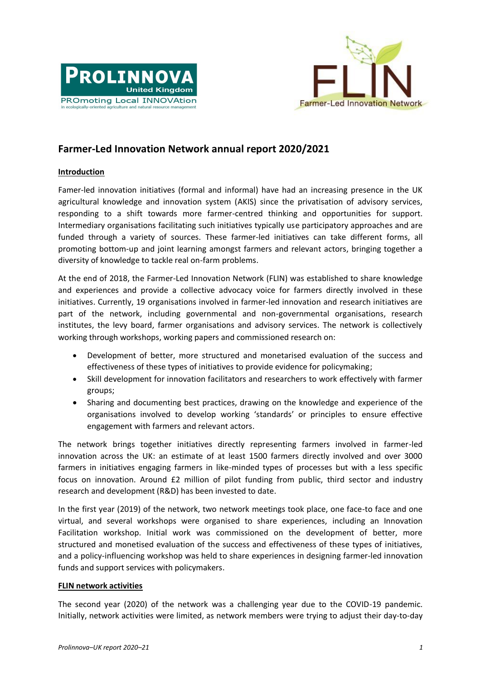



## **Farmer-Led Innovation Network annual report 2020/2021**

## **Introduction**

Famer-led innovation initiatives (formal and informal) have had an increasing presence in the UK agricultural knowledge and innovation system (AKIS) since the privatisation of advisory services, responding to a shift towards more farmer-centred thinking and opportunities for support. Intermediary organisations facilitating such initiatives typically use participatory approaches and are funded through a variety of sources. These farmer-led initiatives can take different forms, all promoting bottom-up and joint learning amongst farmers and relevant actors, bringing together a diversity of knowledge to tackle real on-farm problems.

At the end of 2018, the Farmer-Led Innovation Network (FLIN) was established to share knowledge and experiences and provide a collective advocacy voice for farmers directly involved in these initiatives. Currently, 19 organisations involved in farmer-led innovation and research initiatives are part of the network, including governmental and non-governmental organisations, research institutes, the levy board, farmer organisations and advisory services. The network is collectively working through workshops, working papers and commissioned research on:

- Development of better, more structured and monetarised evaluation of the success and effectiveness of these types of initiatives to provide evidence for policymaking;
- Skill development for innovation facilitators and researchers to work effectively with farmer groups;
- Sharing and documenting best practices, drawing on the knowledge and experience of the organisations involved to develop working 'standards' or principles to ensure effective engagement with farmers and relevant actors.

The network brings together initiatives directly representing farmers involved in farmer-led innovation across the UK: an estimate of at least 1500 farmers directly involved and over 3000 farmers in initiatives engaging farmers in like-minded types of processes but with a less specific focus on innovation. Around £2 million of pilot funding from public, third sector and industry research and development (R&D) has been invested to date.

In the first year (2019) of the network, two network meetings took place, one face-to face and one virtual, and several workshops were organised to share experiences, including an Innovation Facilitation workshop. Initial work was commissioned on the development of better, more structured and monetised evaluation of the success and effectiveness of these types of initiatives, and a policy-influencing workshop was held to share experiences in designing farmer-led innovation funds and support services with policymakers.

## **FLIN network activities**

The second year (2020) of the network was a challenging year due to the COVID-19 pandemic. Initially, network activities were limited, as network members were trying to adjust their day-to-day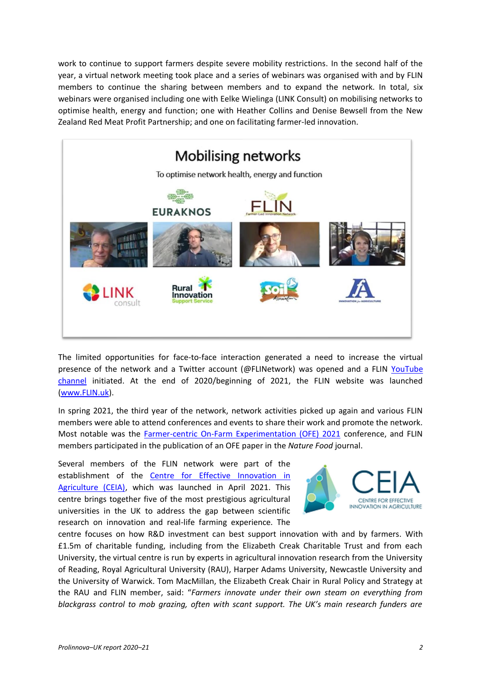work to continue to support farmers despite severe mobility restrictions. In the second half of the year, a virtual network meeting took place and a series of webinars was organised with and by FLIN members to continue the sharing between members and to expand the network. In total, six webinars were organised including one with Eelke Wielinga (LINK Consult) on mobilising networks to optimise health, energy and function; one with Heather Collins and Denise Bewsell from the New Zealand Red Meat Profit Partnership; and one on facilitating farmer-led innovation.



The limited opportunities for face-to-face interaction generated a need to increase the virtual presence of the network and a Twitter account (@FLINetwork) was opened and a FLIN [YouTube](https://www.youtube.com/channel/UCBxhznaPUF4gswihysHhaxA/featured)  [channel](https://www.youtube.com/channel/UCBxhznaPUF4gswihysHhaxA/featured) initiated. At the end of 2020/beginning of 2021, the FLIN website was launched [\(www.FLIN.uk\)](http://www.flin.uk/).

In spring 2021, the third year of the network, network activities picked up again and various FLIN members were able to attend conferences and events to share their work and promote the network. Most notable was the [Farmer-centric On-Farm Experimentation \(OFE\) 2021](https://ofe2021.com/) conference, and FLIN members participated in the publication of an OFE paper in the *Nature Food* journal.

Several members of the FLIN network were part of the establishment of the [Centre for Effective Innovation in](https://www.ceiagri.org/)  [Agriculture \(CEIA\),](https://www.ceiagri.org/) which was launched in April 2021. This centre brings together five of the most prestigious agricultural universities in the UK to address the gap between scientific research on innovation and real-life farming experience. The



centre focuses on how R&D investment can best support innovation with and by farmers. With £1.5m of charitable funding, including from the Elizabeth Creak Charitable Trust and from each University, the virtual centre is run by experts in agricultural innovation research from the University of Reading, Royal Agricultural University (RAU), Harper Adams University, Newcastle University and the University of Warwick. Tom MacMillan, the Elizabeth Creak Chair in Rural Policy and Strategy at the RAU and FLIN member, said: "*Farmers innovate under their own steam on everything from blackgrass control to mob grazing, often with scant support. The UK's main research funders are*